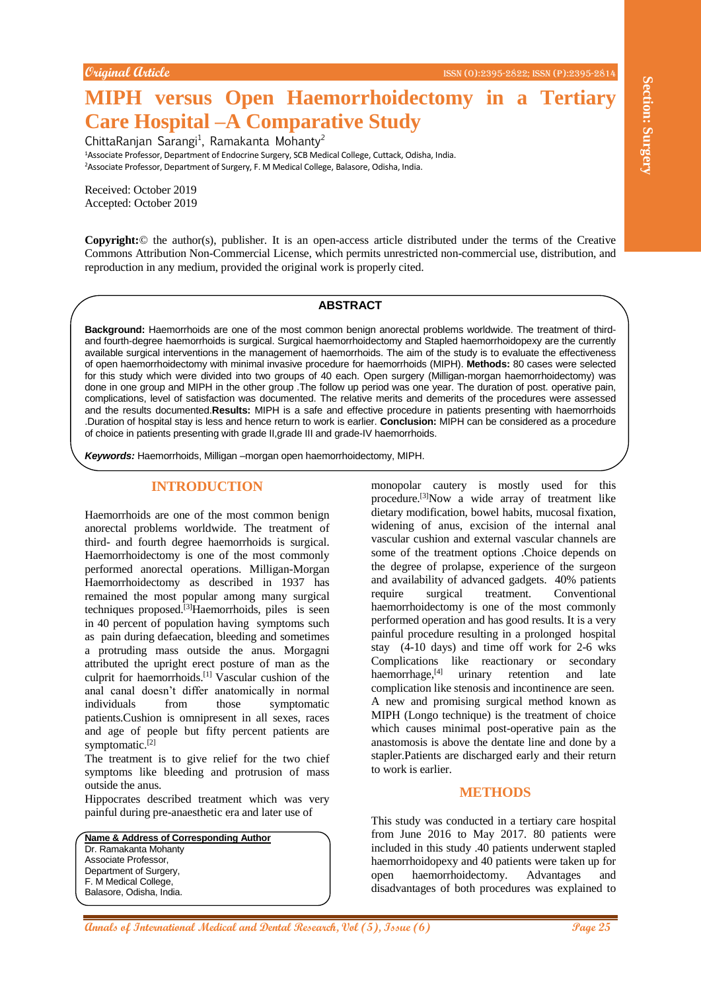# **MIPH versus Open Haemorrhoidectomy in a Tertiary Care Hospital –A Comparative Study**

ChittaRanjan Sarangi<sup>1</sup>, Ramakanta Mohanty<sup>2</sup>

<sup>1</sup>Associate Professor, Department of Endocrine Surgery, SCB Medical College, Cuttack, Odisha, India. <sup>2</sup>Associate Professor, Department of Surgery, F. M Medical College, Balasore, Odisha, India.

Received: October 2019 Accepted: October 2019

**Copyright:**© the author(s), publisher. It is an open-access article distributed under the terms of the Creative Commons Attribution Non-Commercial License, which permits unrestricted non-commercial use, distribution, and reproduction in any medium, provided the original work is properly cited.

#### **ABSTRACT**

**Background:** Haemorrhoids are one of the most common benign anorectal problems worldwide. The treatment of thirdand fourth-degree haemorrhoids is surgical. Surgical haemorrhoidectomy and Stapled haemorrhoidopexy are the currently available surgical interventions in the management of haemorrhoids. The aim of the study is to evaluate the effectiveness of open haemorrhoidectomy with minimal invasive procedure for haemorrhoids (MIPH). **Methods:** 80 cases were selected for this study which were divided into two groups of 40 each. Open surgery (Milligan-morgan haemorrhoidectomy) was done in one group and MIPH in the other group .The follow up period was one year. The duration of post. operative pain, complications, level of satisfaction was documented. The relative merits and demerits of the procedures were assessed and the results documented.**Results:** MIPH is a safe and effective procedure in patients presenting with haemorrhoids .Duration of hospital stay is less and hence return to work is earlier. **Conclusion:** MIPH can be considered as a procedure of choice in patients presenting with grade II,grade III and grade-IV haemorrhoids.

*Keywords:* Haemorrhoids, Milligan –morgan open haemorrhoidectomy, MIPH.

## **INTRODUCTION**

Haemorrhoids are one of the most common benign anorectal problems worldwide. The treatment of third- and fourth degree haemorrhoids is surgical. Haemorrhoidectomy is one of the most commonly performed anorectal operations. Milligan-Morgan Haemorrhoidectomy as described in 1937 has remained the most popular among many surgical techniques proposed.<sup>[3]</sup>Haemorrhoids, piles is seen in 40 percent of population having symptoms such as pain during defaecation, bleeding and sometimes a protruding mass outside the anus. Morgagni attributed the upright erect posture of man as the culprit for haemorrhoids.[1] Vascular cushion of the anal canal doesn't differ anatomically in normal individuals from those symptomatic patients.Cushion is omnipresent in all sexes, races and age of people but fifty percent patients are symptomatic.<sup>[2]</sup>

The treatment is to give relief for the two chief symptoms like bleeding and protrusion of mass outside the anus.

Hippocrates described treatment which was very painful during pre-anaesthetic era and later use of

**Name & Address of Corresponding Author** Dr. Ramakanta Mohanty Associate Professor, Department of Surgery, F. M Medical College, Balasore, Odisha, India.

**Annals Open Haemorrhoidectomy in a Tertiary of Comparison Surgery 1. The main of the state of Comparison Surgery 1.1 The main of the state of Comparison Comparison Surgery 1.1 The main of the state of Comparison Compariso** monopolar cautery is mostly used for this procedure.<sup>[3]</sup>Now a wide array of treatment like dietary modification, bowel habits, mucosal fixation, widening of anus, excision of the internal anal vascular cushion and external vascular channels are some of the treatment options .Choice depends on the degree of prolapse, experience of the surgeon and availability of advanced gadgets. 40% patients require surgical treatment. Conventional haemorrhoidectomy is one of the most commonly performed operation and has good results. It is a very painful procedure resulting in a prolonged hospital stay (4-10 days) and time off work for 2-6 wks Complications like reactionary or secondary haemorrhage,<sup>[4]</sup> urinary retention and late complication like stenosis and incontinence are seen. A new and promising surgical method known as MIPH (Longo technique) is the treatment of choice which causes minimal post-operative pain as the anastomosis is above the dentate line and done by a stapler.Patients are discharged early and their return to work is earlier.

## **METHODS**

This study was conducted in a tertiary care hospital from June 2016 to May 2017. 80 patients were included in this study .40 patients underwent stapled haemorrhoidopexy and 40 patients were taken up for open haemorrhoidectomy. Advantages and disadvantages of both procedures was explained to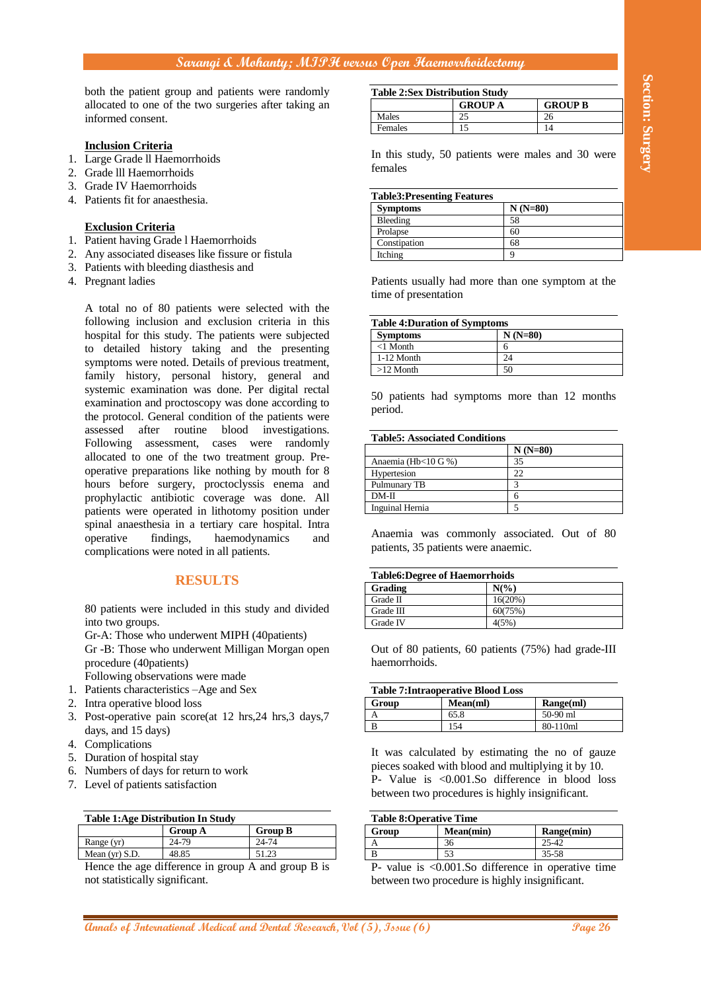## **Sarangi & Mohanty; MIPH versus Open Haemorrhoidectomy**

both the patient group and patients were randomly allocated to one of the two surgeries after taking an informed consent.

#### **Inclusion Criteria**

- 1. Large Grade ll Haemorrhoids
- 2. Grade lll Haemorrhoids
- 3. Grade IV Haemorrhoids
- 4. Patients fit for anaesthesia.

### **Exclusion Criteria**

- 1. Patient having Grade l Haemorrhoids
- 2. Any associated diseases like fissure or fistula
- 3. Patients with bleeding diasthesis and
- 4. Pregnant ladies

**And the patient given the control of International Annual Research, International Medical Annual Research, Control of International Medical and Dental Research, Control international Control international Control interna** A total no of 80 patients were selected with the following inclusion and exclusion criteria in this hospital for this study. The patients were subjected to detailed history taking and the presenting symptoms were noted. Details of previous treatment, family history, personal history, general and systemic examination was done. Per digital rectal examination and proctoscopy was done according to the protocol. General condition of the patients were assessed after routine blood investigations. Following assessment, cases were randomly allocated to one of the two treatment group. Preoperative preparations like nothing by mouth for 8 hours before surgery, proctoclyssis enema and prophylactic antibiotic coverage was done. All patients were operated in lithotomy position under spinal anaesthesia in a tertiary care hospital. Intra operative findings, haemodynamics and complications were noted in all patients.

## **RESULTS**

80 patients were included in this study and divided into two groups.

Gr-A: Those who underwent MIPH (40patients) Gr -B: Those who underwent Milligan Morgan open procedure (40patients)

Following observations were made

- 1. Patients characteristics –Age and Sex
- 2. Intra operative blood loss
- 3. Post-operative pain score(at 12 hrs,24 hrs,3 days,7 days, and 15 days)
- 4. Complications
- 5. Duration of hospital stay
- 6. Numbers of days for return to work
- 7. Level of patients satisfaction

| <b>Table 1:Age Distribution In Study</b> |                |                |  |
|------------------------------------------|----------------|----------------|--|
|                                          | <b>Group A</b> | <b>Group B</b> |  |
| Range (yr)                               | 24-79          | 24-74          |  |
| Mean (yr) $S.D.$                         | 48.85          | 51.23          |  |

Hence the age difference in group A and group B is not statistically significant.

| <b>Table 2:Sex Distribution Study</b> |                |                |
|---------------------------------------|----------------|----------------|
|                                       | <b>GROUP A</b> | <b>GROUP B</b> |
| Males                                 | າ<             |                |
| <b>Females</b>                        |                |                |

In this study, 50 patients were males and 30 were females

| <b>Table3:Presenting Features</b> |           |
|-----------------------------------|-----------|
| <b>Symptoms</b>                   | $N(N=80)$ |
| Bleeding                          | 58        |
| Prolapse                          | 60        |
| Constipation                      | 68        |
| Itching                           |           |

Patients usually had more than one symptom at the time of presentation

| <b>Table 4: Duration of Symptoms</b> |           |  |
|--------------------------------------|-----------|--|
| <b>Symptoms</b>                      | $N(N=80)$ |  |
| $<$ 1 Month                          | n         |  |
| 1-12 Month                           | 24        |  |
| $>12$ Month                          | 50        |  |

50 patients had symptoms more than 12 months period.

### **Table5: Associated Conditions**

|                        | $N(N=80)$ |
|------------------------|-----------|
| Anaemia (Hb<10 G %)    | 35        |
| Hypertesion            |           |
| Pulmunary TB           |           |
| $DM-II$                | n         |
| <b>Inguinal Hernia</b> |           |

Anaemia was commonly associated. Out of 80 patients, 35 patients were anaemic.

| <b>Table6:Degree of Haemorrhoids</b> |                 |  |
|--------------------------------------|-----------------|--|
| Grading                              | $N\binom{0}{0}$ |  |
| Grade II                             | 16(20%)         |  |
| Grade III                            | 60(75%)         |  |
| Grade IV                             | 4(5%)           |  |

Out of 80 patients, 60 patients (75%) had grade-III haemorrhoids.

| <b>Table 7: Intraoperative Blood Loss</b> |          |           |
|-------------------------------------------|----------|-----------|
| Group                                     | Mean(ml) | Range(ml) |
|                                           | 65.8     | 50-90 ml  |
|                                           | 154      | 80-110ml  |

It was calculated by estimating the no of gauze pieces soaked with blood and multiplying it by 10. P- Value is <0.001.So difference in blood loss between two procedures is highly insignificant.

| <b>Table 8: Operative Time</b> |           |            |
|--------------------------------|-----------|------------|
| Group                          | Mean(min) | Range(min) |
|                                | 36        | 25-42      |
|                                |           | $35 - 58$  |
| -                              | <br>0.001 |            |

P- value is <0.001.So difference in operative time between two procedure is highly insignificant.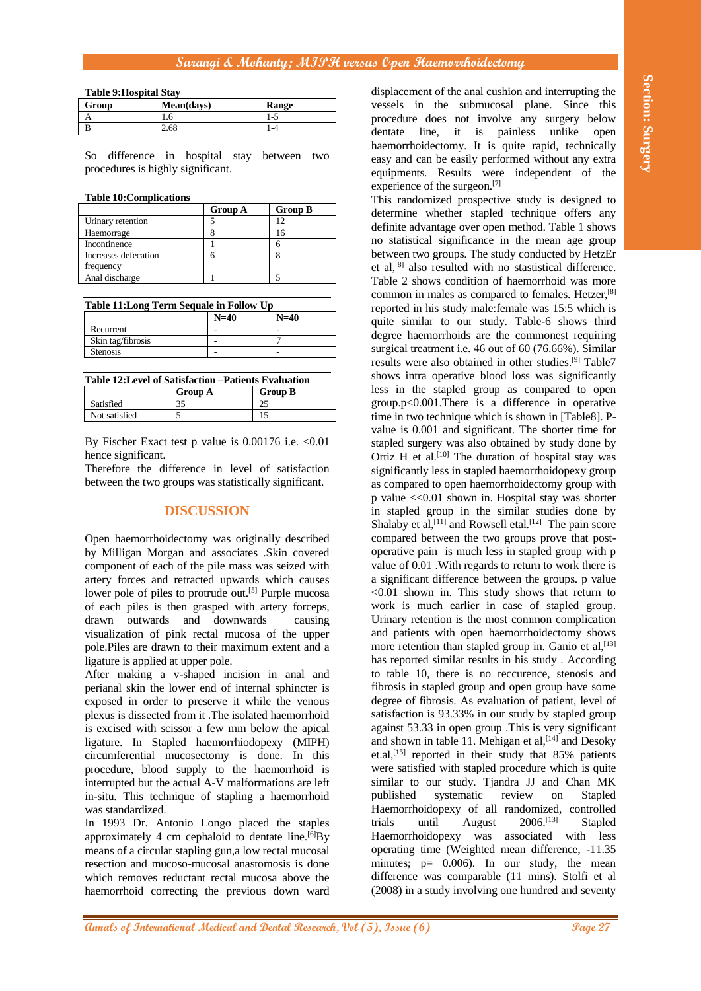## **Sarangi & Mohanty; MIPH versus Open Haemorrhoidectomy**

| <b>Table 9: Hospital Stay</b> |            |         |
|-------------------------------|------------|---------|
| Group                         | Mean(days) | Range   |
|                               | . 0        | $1 - 5$ |
|                               | 2.68       | -4      |

So difference in hospital stay between two procedures is highly significant.

| <b>Table 10: Complications</b> |                |                |
|--------------------------------|----------------|----------------|
|                                | <b>Group A</b> | <b>Group B</b> |
| Urinary retention              |                |                |
| Haemorrage                     |                |                |
| Incontinence                   |                |                |
| Increases defecation           |                | 8              |
| frequency                      |                |                |
| Anal discharge                 |                |                |

**Table 11:Long Term Sequale in Follow Up**

|                   | $N=40$ | $N=40$ |
|-------------------|--------|--------|
| Recurrent         |        |        |
| Skin tag/fibrosis |        |        |
| <b>Stenosis</b>   |        |        |

**Table 12:Level of Satisfaction –Patients Evaluation**  $G$ roup  $\Lambda$ 

|               | U100P11    | vivup <i>p</i> |
|---------------|------------|----------------|
| Satisfied     | n r<br>-'- |                |
| Not satisfied |            | ⊥ J            |
|               |            |                |

By Fischer Exact test p value is 0.00176 i.e. < 0.01 hence significant.

Therefore the difference in level of satisfaction between the two groups was statistically significant.

## **DISCUSSION**

Open haemorrhoidectomy was originally described by Milligan Morgan and associates .Skin covered component of each of the pile mass was seized with artery forces and retracted upwards which causes lower pole of piles to protrude out.<sup>[5]</sup> Purple mucosa of each piles is then grasped with artery forceps, drawn outwards and downwards causing visualization of pink rectal mucosa of the upper pole.Piles are drawn to their maximum extent and a ligature is applied at upper pole.

After making a v-shaped incision in anal and perianal skin the lower end of internal sphincter is exposed in order to preserve it while the venous plexus is dissected from it .The isolated haemorrhoid is excised with scissor a few mm below the apical ligature. In Stapled haemorrhiodopexy (MIPH) circumferential mucosectomy is done. In this procedure, blood supply to the haemorrhoid is interrupted but the actual A-V malformations are left in-situ. This technique of stapling a haemorrhoid was standardized.

In 1993 Dr. Antonio Longo placed the staples approximately 4 cm cephaloid to dentate line.<sup> $[6]$ </sup>By means of a circular stapling gun,a low rectal mucosal resection and mucoso-mucosal anastomosis is done which removes reductant rectal mucosa above the haemorrhoid correcting the previous down ward

displacement of the anal cushion and interrupting the vessels in the submucosal plane. Since this procedure does not involve any surgery below dentate line, it is painless unlike open haemorrhoidectomy. It is quite rapid, technically easy and can be easily performed without any extra equipments. Results were independent of the experience of the surgeon.<sup>[7]</sup>

**Andreas Street Free Page 28 Andreas Controlling Controlling Controlling Controlling Controlling Controlling Controlling Controlling Controlling Controlling Controlling Controlling Controlling Controlling Controlling Con** This randomized prospective study is designed to determine whether stapled technique offers any definite advantage over open method. Table 1 shows no statistical significance in the mean age group between two groups. The study conducted by HetzEr et al, [8] also resulted with no stastistical difference. Table 2 shows condition of haemorrhoid was more common in males as compared to females. Hetzer,<sup>[8]</sup> reported in his study male:female was 15:5 which is quite similar to our study. Table-6 shows third degree haemorrhoids are the commonest requiring surgical treatment i.e. 46 out of 60 (76.66%). Similar results were also obtained in other studies. [9] Table7 shows intra operative blood loss was significantly less in the stapled group as compared to open group.p<0.001.There is a difference in operative time in two technique which is shown in [Table8]. Pvalue is 0.001 and significant. The shorter time for stapled surgery was also obtained by study done by Ortiz H et al.<sup>[10]</sup> The duration of hospital stay was significantly less in stapled haemorrhoidopexy group as compared to open haemorrhoidectomy group with p value <<0.01 shown in. Hospital stay was shorter in stapled group in the similar studies done by Shalaby et al,  $[11]$  and Rowsell etal.  $[12]$  The pain score compared between the two groups prove that postoperative pain is much less in stapled group with p value of 0.01 .With regards to return to work there is a significant difference between the groups. p value <0.01 shown in. This study shows that return to work is much earlier in case of stapled group. Urinary retention is the most common complication and patients with open haemorrhoidectomy shows more retention than stapled group in. Ganio et al,<sup>[13]</sup> has reported similar results in his study . According to table 10, there is no reccurence, stenosis and fibrosis in stapled group and open group have some degree of fibrosis. As evaluation of patient, level of satisfaction is 93.33% in our study by stapled group against 53.33 in open group .This is very significant and shown in table 11. Mehigan et al,  $[14]$  and Desoky et.al,[15] reported in their study that 85% patients were satisfied with stapled procedure which is quite similar to our study. Tjandra JJ and Chan MK published systematic review on Stapled Haemorrhoidopexy of all randomized, controlled trials until August 2006.[13] Stapled Haemorrhoidopexy was associated with less operating time (Weighted mean difference, -11.35 minutes;  $p= 0.006$ . In our study, the mean difference was comparable (11 mins). Stolfi et al (2008) in a study involving one hundred and seventy